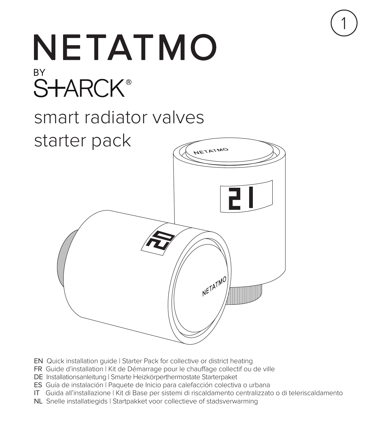

1

- EN Quick installation guide | Starter Pack for collective or district heating
- FR Guide d'installation | Kit de Démarrage pour le chauffage collectif ou de ville
- DE Installationsanleitung | Smarte Heizkörperthermostate Starterpaket
- ES Guía de instalación | Paquete de Inicio para calefacción colectiva o urbana
- IT Guida all'installazione | Kit di Base per sistemi di riscaldamento centralizzato o di teleriscaldamento
- NL Snelle installatiegids | Startpakket voor collectieve of stadsverwarming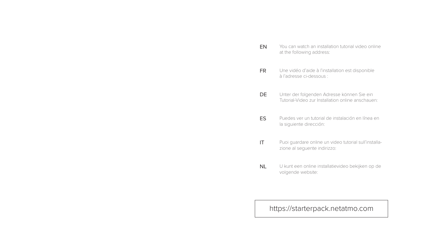| EN        | You can watch an installation tutorial video online<br>at the following address:                |
|-----------|-------------------------------------------------------------------------------------------------|
| <b>FR</b> | Une vidéo d'aide à l'installation est disponible<br>à l'adresse ci-dessous :                    |
| DE        | Unter der folgenden Adresse können Sie ein<br>Tutorial-Video zur Installation online anschauen: |
| ES        | Puedes ver un tutorial de instalación en línea en<br>la siguiente dirección:                    |
| ΙT        | Puoi quardare online un video tutorial sull'installa-<br>zione al sequente indirizzo:           |
| <b>NL</b> | U kunt een online installatievideo bekijken op de<br>volgende website:                          |
|           |                                                                                                 |

https://starterpack.netatmo.com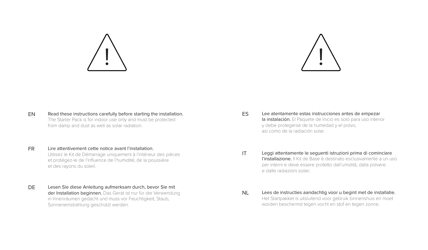



- Read these instructions carefully before starting the installation. The Starter Pack is for indoor use only and must be protected from damp and dust as well as solar radiation. EN
- FR Lire attentivement cette notice avant l'installation. Utilisez le Kit de Démarrage uniquement à l'intérieur des pièces et protégez-le de l'influence de l'humidité, de la poussière et des rayons du soleil.
- DE Lesen Sie diese Anleitung aufmerksam durch, bevor Sie mit der Installation beginnen. Das Gerät ist nur für die Verwendung in Innenräumen gedacht und muss vor Feuchtigkeit, Staub, Sonneneinstrahlung geschützt werden.
- ES Lee atentamente estas instrucciones antes de empezar la instalación. El Paquete de Inicio es solo para uso interior y debe protegerse de la humedad y el polvo, así como de la radiación solar.
- IT Leggi attentamente le seguenti istruzioni prima di cominciare l'installazione. Il Kit de Base è destinato esclusivamente a un uso per interni e deve essere protetto dall'umidità, dalla polvere e dalle radiazioni solari.
- NL Lees de instructies aandachtig voor u begint met de installatie. Het Startpakket is uitsluitend voor gebruik binnenshuis en moet worden beschermd tegen vocht en stof en tegen zonne.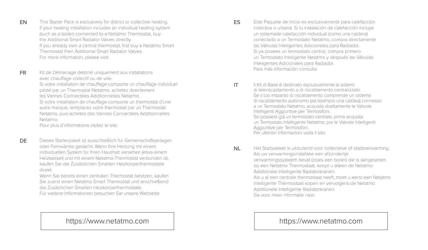This Starter Pack is exclusively for district or collective heating. If your heating installation includes an individual heating system (such as a boiler) connected to a Netatmo Thermostat, buy the Additional Smart Radiator Valves directly. If you already own a central thermostat, first buy a Netatmo Smart Thermostat then Additional Smart Radiator Valves. For more information, please visit:

FR Kit de Démarrage destiné uniquement aux installations avec chauffage collectif ou de ville. Si votre installation de chauffage comporte un chauffage individuel piloté par un Thermostat Netatmo, achetez directement les Vannes Connectées Additionnelles Netatmo. Si votre installation de chauffage comporte un thermostat d'une

autre marque, remplacez votre thermostat par un Thermostat Netatmo, puis achetez des Vannes Connectées Additionnelles Netatmo.

Pour plus d'informations visitez le site:

EN

DE

Dieses Starterpaket ist ausschließlich für Gemeinschaftsanlagen oder Fernwärme gedacht. Wenn Ihre Heizung mit einem individuellen System für Ihren Haushalt versehen (etwa einem Heizkessel) und mit einem Netatmo-Thermostat verbunden ist, kaufen Sie die Zusätzlichen Smarten Heizkörperthermostate direkt.

Wenn Sie bereits einen zentralen Thermostat besitzen, kaufen Sie zuerst einen Netatmo Smart Thermostat und anschließend die Zusätzlichen Smarten Heizkörperthermostate. Für weitere Informationen besuchen Sie unsere Webseite:

# https://www.netatmo.com and https://www.netatmo.com https://www.netatmo.com

- Este Paquete de Inicio es exclusivamente para calefacción colectiva o urbana. Si tu instalación de calefacción incluye un sistemade calefacción individual (como una caldera) conectado a un Termostato Netatmo, compra directamente las Válvulas Inteligentes Adicionales para Radiador. Si ya posees un termostato central, compra primero un Termostato Inteligente Netatmo y después las Válvulas Inteligentes Adicionales para Radiador. Para más información consulta: ES
- Il Kit di Base è destinato esclusivamente ai sistemi di teleriscaldamento o di riscaldamento centralizzato. Se il tuo impianto di riscaldamento comprende un sistema di riscaldamento autonomo (ad esempio una caldaia) connesso a un Termostato Netatmo, acquista direttamente le Valvole Intelligenti Aggiuntive per Termosifoni. Se possiedi già un termostato centrale, prima acquista un Termostato Intelligente Netatmo, poi le Valvole Intelligenti Aggiuntive per Termosifoni. Per ulteriori informazioni visita il sito: IT
- Het Startpakket is uitsluitend voor collectieve of stadsverwarming. Als uw verwarmingsinstallatie een afzonderlijk verwarmingssysteem bevat (zoals een boiler) die is aangesloten op een Netatmo Thermostaat, koopt u alleen de Netatmo Additionele Intelligente Radiatorkranen. Als u al een centrale thermostaat heeft, moet u eerst een Netatmo Intelligente Thermostaat kopen en vervolgens de Netatmo Additionele Intelligente Radiatorkranen. Ga voor meer informatie naar: NL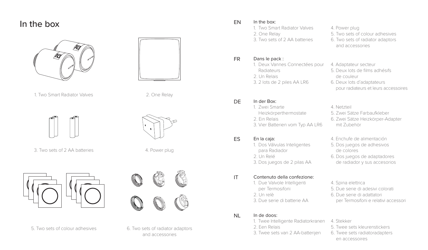# In the box





2. One Relay

4. Power plug

Giacomini

1. Two Smart Radiator Valves



3. Two sets of 2 AA batteries





and accessories

#### In the box: EN

- 1. Two Smart Radiator Valves 2. One Relay
- 3. Two sets of 2 AA batteries

#### Dans le pack : FR

# 1. Deux Vannes Connectées pour Radiateurs 2. Un Relais 3. 2 lots de 2 piles AA LR6

#### In der Box: DE

1. Zwei Smarte Heizkörperthermostate 2. Ein Relais 3. Vier Batterien vom Typ AA LR6

#### En la caja: ES

- 1. Dos Válvulas Inteligentes para Radiador 2. Un Relé
- 3. Dos juegos de 2 pilas AA

#### Contenuto della confezione: IT

- 1. Due Valvole Intelligenti per Termosifoni
- 2. Un relè
- 3. Due serie di batterie AA

#### In de doos: NL

- 1. Twee Intelligente Radiatorkranen
- 2. Een Relais
- 3. Twee sets van 2 AA-batterijen
- 4. Power plug
- 5. Two sets of colour adhesives
- 6. Two sets of radiator adaptors

and accessories

- 4. Adaptateur secteur
- 5. Deux lots de films adhésifs de couleur
- 6. Deux lots d'adaptateurs pour radiateurs et leurs accessoires
- 4. Netzteil
- 5. Zwei Sätze Farbaufkleber 6. Zwei Sätze Heizkörper-Adapter
- mit Zubehör
- 4. Enchufe de alimentación
- 5. Dos juegos de adhesivos de colores
- 6. Dos juegos de adaptadores de radiador y sus accesorios
- 4. Spina elettrica
- 5. Due serie di adesivi colorati
- 6. Due serie di adattatori per Termosifoni e relativi accessori

# 4. Stekker

- 5. Twee sets kleurenstickers
- 6. Twee sets radiatoradapters en accessoires

 $\mathbb{R}$  and  $\mathbb{R}$  and  $\mathbb{R}$  and  $\mathbb{R}$  and  $\mathbb{R}$  and  $\mathbb{R}$  and  $\mathbb{R}$  and  $\mathbb{R}$  and  $\mathbb{R}$  and  $\mathbb{R}$  and  $\mathbb{R}$  and  $\mathbb{R}$  and  $\mathbb{R}$  and  $\mathbb{R}$  and  $\mathbb{R}$  and  $\mathbb{R}$  and  $\mathbb{R}$  and

5. Two sets of colour adhesives 6. Two sets of radiator adaptors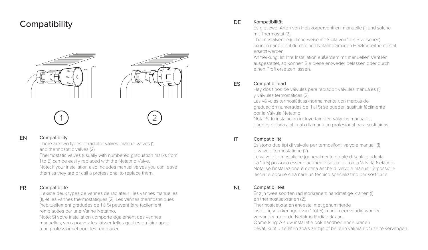# Compatibility DE



#### Compatibility EN

There are two types of radiator valves: manual valves (1), and thermostatic valves (2).

Thermostatic valves (usually with numbered graduation marks from 1 to 5) can be easily replaced with the Netatmo Valve. Note: If your installation also includes manual valves you can leave them as they are or call a professional to replace them.

#### Compatibilité FR

Il existe deux types de vannes de radiateur : les vannes manuelles (1), et les vannes thermostatiques (2). Les vannes thermostatiques (habituellement graduées de 1 à 5) peuvent être facilement remplacées par une Vanne Netatmo. Note: Si votre installation comporte également des vannes manuelles, vous pouvez les laisser telles quelles ou faire appel à un professionnel pour les remplacer.

### Kompatibilität

Es gibt zwei Arten von Heizkörperventilen: manuelle (1) und solche mit Thermostat (2).

Thermostatventile (üblicherweise mit Skala von 1 bis 5 versehen) können ganz leicht durch einen Netatmo Smarten Heizkörperthermostat ersetzt werden.

Anmerkung: Ist Ihre Installation außerdem mit manuellen Ventilen ausgestattet, so können Sie diese entweder belassen oder durch einen Profi ersetzen lassen.

#### ES Compatibilidad

Hay dos tipos de válvulas para radiador: válvulas manuales (1), y válvulas termostáticas (2). Las válvulas termostáticas (normalmente con marcas de

graduación numeradas del 1 al 5) se pueden sustituir fácilmente por la Válvula Netatmo.

Nota: Si tu instalación incluye también válvulas manuales, puedes dejarlas tal cual o llamar a un profesional para sustituirlas.

#### IT Compatibilità

Esistono due tipi di valvole per termosifoni: valvole manuali (1) e valvole termostatiche (2).

Le valvole termostatiche (generalmente dotate di scala graduata da 1 a 5) possono essere facilmente sostituite con la Valvola Netatmo. Nota: se l'installazione è dotata anche di valvole manuali, è possibile lasciarle oppure chiamare un tecnico specializzato per sostituirle.

#### NL Compatibiliteit

Er zijn twee soorten radiatorkranen: handmatige kranen (1)

en thermostaatkranen (2).

Thermostaatkranen (meestal met genummerde

instellingsmarkeringen van 1 tot 5) kunnen eenvoudig worden

vervangen door de Netatmo Radiatorkraan.

Opmerking: Als uw installatie ook handbediende kranen

bevat, kunt u ze laten zoals ze zijn of bel een vakman om ze te vervangen.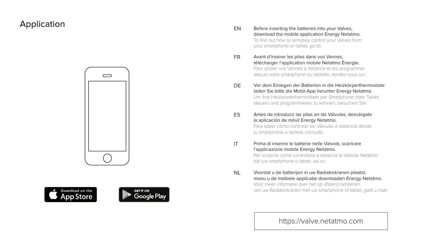# Application







- Before inserting the batteries into your Valves, download the mobile application Energy Netatmo. To find out how to remotely control your Valves from your smartphone or tablet, go to: EN
- Avant d'insérer les piles dans vos Vannes, télécharger l'application mobile Netatmo Énergie. Pour piloter vos Vannes à distance et les programmer depuis votre smartphone ou tablette, rendez-vous sur : FR
- DE Vor dem Einlegen der Batterien in die Heizkörperthermostate laden Sie bitte die Mobil-App herunter Energy Netatmo. Um Ihre Heizkörperthermostate per Smartphone oder Tablet steuern und programmieren zu können, besuchen Sie:
- ES Antes de introducir las pilas en las Válvulas, descárgate la aplicación de móvil Energy Netatmo. Para saber cómo controlar las Válvulas a distancia desde tu smartphone o tableta, consulta:
- IT Prima di inserire le batterie nelle Valvole, scaricare l'applicazione mobile Energy Netatmo. Per scoprire come controllare a distanza le Valvole Netatmo dal tuo smartphone o tablet, vai su:
- NL Voordat u de batterijen in uw Radiatorkranen plaatst, moeu u de mobiele applicatie downloaden Energy Netatmo. Voor meer informatie over het op afstand bedienen van uw Radiatorkranen met uw smartphone of tablet, gaat u naar:

# https://valve.netatmo.com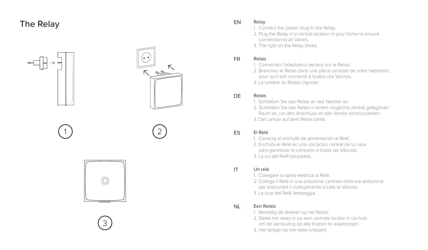# The Relay



1



2







#### Relay EN

- 1. Connect the power plug to the Relay.
- 2. Plug the Relay in a central location in your home to ensure connection to all Valves.
- 3. The light on the Relay blinks.

#### Relais FR

- 1. Connectez l'adaptateur secteur sur le Relais.
- 2. Branchez le Relais dans une pièce centrale de votre habitation, pour qu'il soit connecté à toutes vos Vannes.
- 3. La lumière du Relais clignote.

#### D<sub>E</sub> Relais

- 1. Schließen Sie das Relais an das Netzteil an.
- 2. Schließen Sie das Relais in einem möglichst zentral gelegenen Raum an, um den Anschluss an alle Ventile sicherzustellen.
- 3. Die Lampe auf dem Relais blinkt.

#### ES El Relé

- 1. Conecta el enchufe de alimentación al Relé.
- 2. Enchufa el Relé en una ubicación central de tu casa
- para garantizar la conexión a todas las Válvulas.
- 3. La luz del Relé parpadea.

#### IT Un relè

- 1. Collegare la spina elettrica al Relè.
- 2. Collega il Relè in una posizione centrale della tua abitazione per assicurare il collegamento a tutte le Valvole.
- 3. La luce del Relè lampeggia.

#### NL Een Relais

- 1. Bevestig de stekker op het Relais.
- 2. Steek het relais in op een centrale locatie in uw huis om de aansluiting op alle Kranen te waarborgen.
- 3. Het lampje op het relais knippert.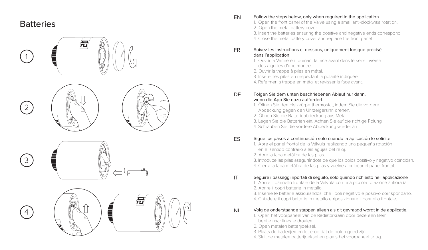# **Batteries**



#### Follow the steps below, only when required in the application EN

- 1. Open the front panel of the Valve using a small anti-clockwise rotation. 2. Open the metal battery cover.
- 3. Insert the batteries ensuring the positive and negative ends correspond.
- 4. Close the metal battery cover and replace the front panel.

#### Suivez les instructions ci-dessous, uniquement lorsque précisé dans l'application FR

- 1. Ouvrir la Vanne en tournant la face avant dans le sens inverse des aiguilles d'une montre.
- 2. Ouvrir la trappe à piles en métal.
- 3. Insérer les piles en respectant la polarité indiquée.
- 4. Refermer la trappe en métal et revisser la face avant.

#### Folgen Sie dem unten beschriebenen Ablauf nur dann, wenn die App Sie dazu auffordert. **DE**

- 1. Öffnen Sie den Heizkörperthermostat, indem Sie die vordere Abdeckung gegen den Uhrzeigersinn drehen.
- 2. Öffnen Sie die Batterieabdeckung aus Metall.
- 3. Legen Sie die Batterien ein. Achten Sie auf die richtige Polung.
- 4. Schrauben Sie die vordere Abdeckung wieder an.

#### Sigue los pasos a continuación solo cuando la aplicación lo solicite ES

- 1. Abre el panel frontal de la Válvula realizando una pequeña rotación en el sentido contrario a las agujas del reloj.
- 2. Abre la tapa metálica de las pilas.
- 3. Introduce las pilas asegurándote de que los polos positivo y negativo coincidan.
- 4. Cierra la tapa metálica de las pilas y vuelve a colocar el panel frontal.

#### Seguire i passaggi riportati di seguito, solo quando richiesto nell'applicazione IT

- 1. Aprire il pannello frontale della Valvola con una piccola rotazione antioraria.
- 2. Aprire il copri batterie in metallo.
- 3. Inserire le batterie assicurandosi che i poli negativo e positivo corrispondano.
- 4. Chiudere il copri batterie in metallo e riposizionare il pannello frontale.

#### Volg de onderstaande stappen alleen als dit gevraagd wordt in de applicatie. NL

- 1. Open het voorpaneel van de Radiatorkraan door deze een klein beetje naar links te draaien.
- 2. Open metalen batterijdeksel.
- 3. Plaats de batterijen en let erop dat de polen goed zijn.
- 4. Sluit de metalen batterijdeksel en plaats het voorpaneel terug.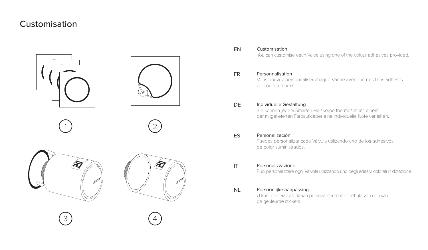# Customisation



3 **(** 4



Customisation EN

You can customise each Valve using one of the colour adhesives provided.

#### Personnalisation FR

Vous pouvez personnaliser chaque Vanne avec l'un des films adhésifs de couleur fournis.

#### DE Individuelle Gestaltung

Sie können jedem Smarten Heizkörperthermostat mit einem der mitgelieferten Farbaufkleber eine individuelle Note verleihen.

# ES Personalización

Puedes personalizar cada Válvula utilizando uno de los adhesivos de color suministrados.

# IT Personalizzazione

Puoi personalizzare ogni Valvola utilizzando uno degli adesivi colorati in dotazione.

# NL Persoonlijke aanpassing

U kunt elke Radiatorkraan personaliseren met behulp van een van de gekleurde stickers.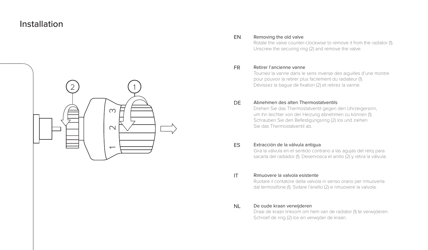# Installation



#### Removing the old valve EN

Rotate the valve counter-clockwise to remove it from the radiator (1). Unscrew the securing ring (2) and remove the valve.

#### Retirer l'ancienne vanne FR

Tournez la vanne dans le sens inverse des aiguilles d'une montre pour pouvoir la retirer plus facilement du radiateur (1). Dévissez la bague de fixation (2) et retirez la vanne.

#### D<sub>E</sub> Abnehmen des alten Thermostatventils

Drehen Sie das Thermostatventil gegen den Uhrzeigersinn, um ihn leichter von der Heizung abnehmen zu können (1). Schrauben Sie den Befestigungsring (2) los und ziehen Sie das Thermostatventil ab.

# ES Extracción de la válvula antigua

Gira la válvula en el sentido contrario a las agujas del reloj para sacarla del radiador (1). Desenrosca el anillo (2) y retira la válvula.

#### IT Rimuovere la valvola esistente

Ruotare il contatore della valvola in senso orario per rimuoverla dal termosifone (1). Svitare l'anello (2) e rimuovere la valvola.

#### NL De oude kraan verwijderen

Draai de kraan linksom om hem van de radiator (1) te verwijderen. Schroef de ring (2) los en verwijder de kraan.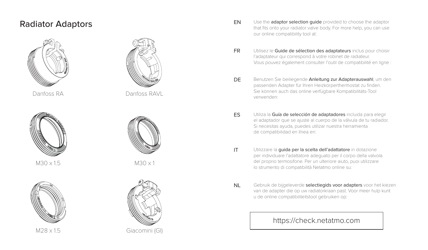

Danfoss RA



M30 x 15  $M30 \times 1.5$ 



M28 x 15



Danfoss RAVI



M30 x 1



Giacomini (GI)  $M28 \times 1.5$  Giacomini (GI)  $V(ZO|X|1, \mathbb{C})$  and  $V$  and  $V$  and  $V$ 

- Radiator Adaptors<br>that fits onto your radiator valve body. For more help, you can use our online compatibility tool at: EN
	- Utilisez le Guide de sélection des adaptateurs inclus pour choisir l'adaptateur qui correspond à votre robinet de radiateur. Vous pouvez également consulter l'outil de compatibilité en ligne : FR
- DE Benutzen Sie beiliegende Anleitung zur Adapterauswahl, um den passenden Adapter für Ihren Heizkörperthermostat zu finden.<br>
Van de Staat Adapter für Ihren Heizkörperthermostat zu finden. Sie können auch das online verfügbare Kompatibilitäts-Tool verwenden:
	- ES Utiliza la Guía de selección de adaptadores incluida para elegir el adaptador que se ajuste al cuerpo de la válvula de tu radiador. Si necesitas ayuda, puedes utilizar nuestra herramienta de compatibilidad en línea en:
	- IT Utilizzare la guida per la scelta dell'adattatore in dotazione per individuare l'adattatore adeguato per il corpo della valvola del proprio termosifone. Per un ulteriore aiuto, puoi utilizzare lo strumento di compatibilità Netatmo online su:
	- NL Gebruik de bijgeleverde selectiegids voor adapters voor het kiezen van de adapter die op uw radiatorkraan past. Voor meer hulp kunt u de online compatibiliteitstool gebruiken op:

# https://check.netatmo.com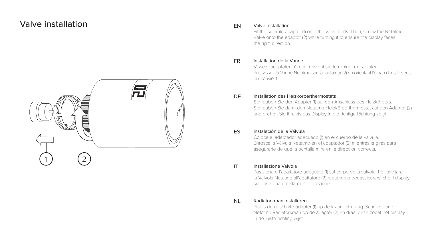# Valve installation valve installation



# EN

Fit the suitable adaptor (1) onto the valve body. Then, screw the Netatmo Valve onto the adaptor (2) while turning it to ensure the display faces the right direction.

#### Installation de la Vanne FR

Vissez l'adaptateur (1) qui convient sur le robinet du radiateur. Puis vissez la Vanne Netatmo sur l'adaptateur (2) en orientant l'écran dans le sens qui convient.

#### DE Installation des Heizkörperthermostats

Schrauben Sie den Adapter (1) auf den Anschluss des Heizkörpers. Schrauben Sie dann den Netatmo-Heizkörperthermostat auf den Adapter (2) und drehen Sie ihn, bis das Display in die richtige Richtung zeigt.

#### ES Instalación de la Válvula

Coloca el adaptador adecuado (1) en el cuerpo de la válvula. Enrosca la Válvula Netatmo en el adaptador (2) mientras la giras para asegurarte de que la pantalla mire en la dirección correcta.

#### IT Installazione Valvola

Posizionare l'adattatore adeguato (1) sul corpo della valvola. Poi, avvitare la Valvola Netatmo all'adattatore (2) ruotandolo per assicurarsi che il display sia posizionato nella giusta direzione.

#### NL Radiatorkraan installeren

Plaats de geschikte adapter (1) op de kraanbehuizing. Schroef dan de Netatmo Radiatorkraan op de adapter (2) en draai deze zodat het display in de juiste richting wijst.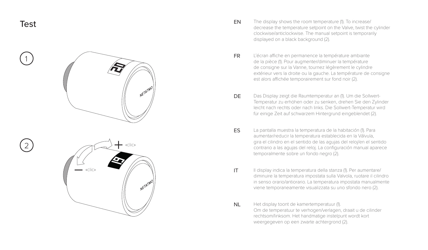





- EN The display shows the room temperature (1). To increase/<br>decrease the temperature setpoint on the Valve, twist the cylinder clockwise/anticlockwise. The manual setpoint is temporarily displayed on a black background (2). EN
	- L'écran affiche en permanence la température ambiante de la pièce (1). Pour augmenter/diminuer la température de consigne sur la Vanne, tournez légèrement le cylindre extérieur vers la droite ou la gauche. La température de consigne est alors affichée temporairement sur fond noir (2). FR
	- D<sub>E</sub> Das Display zeigt die Raumtemperatur an (1). Um die Sollwert-Temperatur zu erhöhen oder zu senken, drehen Sie den Zylinder leicht nach rechts oder nach links. Die Sollwert-Temperatur wird für einige Zeit auf schwarzem Hintergrund eingeblendet (2).
	- ES La pantalla muestra la temperatura de la habitación (1). Para aumentar/reducir la temperatura establecida en la Válvula, gira el cilindro en el sentido de las agujas del reloj/en el sentido contrario a las agujas del reloj. La configuración manual aparece temporalmente sobre un fondo negro (2).
	- IT Il display indica la temperatura della stanza (1). Per aumentare/ diminuire la temperatura impostata sulla Valvola, ruotare il cilindro in senso orario/antiorario. La temperatura impostata manualmente viene temporaneamente visualizzata su uno sfondo nero (2).
	- NL Het display toont de kamertemperatuur (1). Om de temperatuur te verhogen/verlagen, draait u de cilinder rechtsom/linksom. Het handmatige instelpunt wordt kort weergegeven op een zwarte achtergrond (2).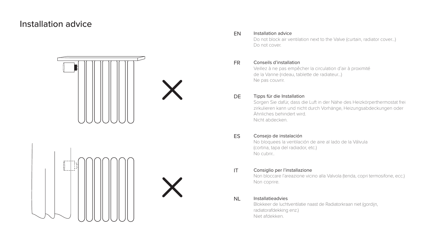# Installation advice





#### Installation advice EN

Do not block air ventilation next to the Valve (curtain, radiator cover…) Do not cover.

#### Conseils d'installation FR

Veillez à ne pas empêcher la circulation d'air à proximité de la Vanne (rideau, tablette de radiateur…) Ne pas couvrir.

# DE Tipps für die Installation

Sorgen Sie dafür, dass die Luft in der Nähe des Heizkörperthermostat frei zirkulieren kann und nicht durch Vorhänge, Heizungsabdeckungen oder Ähnliches behindert wird. Nicht abdecken.

# ES Consejo de instalación

No bloquees la ventilación de aire al lado de la Válvula (cortina, tapa del radiador, etc.) No cubrir..

# IT Consiglio per l'installazione

Non bloccare l'areazione vicino alla Valvola (tenda, copri termosifone, ecc.) Non coprire.

### NI Installatieadvies

Blokkeer de luchtventilatie naast de Radiatorkraan niet (gordijn, radiatorafdekking enz.) Niet afdekken.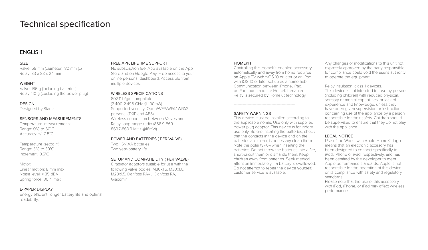# Technical specification

# ENGLISH

#### SIZE

Valve: 58 mm (diameter), 80 mm (L) Relay: 83 x 83 x 24 mm

#### **WEIGHT**

Valve: 186 g (including batteries) Relay: 110 g (excluding the power plug)

#### **DESIGN**

Designed by Starck

#### SENSORS AND MEASUREMENTS

Temperature (measurement): Range: 0°C to 50°C Accuracy: +/- 0.5°C

Temperature (setpoint): Range: 5°C to 30°C Increment: 0.5°C

#### Motor:

Linear motion: 8 mm max Noise level: < 35 dBA Spring force: 80 N max

### E-PAPER DISPLAY

Energy efficient, longer battery life and optimal readability.

#### FREE APP, LIFETIME SUPPORT

No subscription fee. App available on the App Store and on Google Play. Free access to your online personal dashboard. Accessible from multiple devices.

### WIRELESS SPECIFICATIONS

802.11 b/g/n compatible (2.400-2.496 GHz @ 100mW). Supported security: Open/WEP/WPA/ WPA2 personal (TKIP and AES). Wireless connection between Valves and Relay: Iong-range radio (868.9-8691 869.7-869.9 MHz @16mW).

#### POWER AND BATTERIES ( PER VALVE)

Two 1.5V AA batteries. Two year-battery life.

#### SETUP AND COMPATIBILITY ( PER VALVE)

6 radiator adaptors suitable for use with the following valve bodies: M30x1.5, M30x1.0, M28x15, Danfoss RAVL, Danfoss RA Giacomini.

#### **HOMEKIT**

Controlling this HomeKit-enabled accessory automatically and away from home requires an Apple TV with tvOS 10 or later or an iPad with iOS 10 or later set up as a home hub. Communication between iPhone, iPad, or iPod touch and the HomeKit-enabled Relay is secured by HomeKit technology.

-------------------------------------------------

#### SAFETY WARNINGS

This device must be installed according to the applicable norms. Use only with supplied power plug adaptor. This device is for indoor use only. Before inserting the batteries, check that the contacts in the device and on the batteries are clean, is necessary clean them. Note the polarity (+/-) when inserting the batteries. Do not throw the batteries into a fire, short-circuit them or dismantle them. Keep children away from batteries. Seek medical attention immediately if a battery is swallowed. Do not attempt to repair the device yourself; customer service is available.

Any changes or modifications to this unit not expressly approved by the party responsible for compliance could void the user's authority to operate the equipment.

Relay insulation: class II devices. This device is not intended for use by persons (including children) with reduced physical, sensory or mental capabilities, or lack of experience and knowledge, unless they have been given supervision or instruction concerning use of the appliance by a person responsible for their safety. Children should be supervised to ensure that they do not play with the appliance.

### LEGAL NOTICE

Use of the Works with Apple HomeKit logo means that an electronic accesory has been designed to connect specifically to iPod, iPhone or iPad, respectively, and has been certified by the developer to meet Apple performance standards. Apple is not responsible for the operation of this device or its compliance with safety and regulatory standards.

Please note that the use of this accessory with iPod, iPhone, or iPad may affect wireless performance.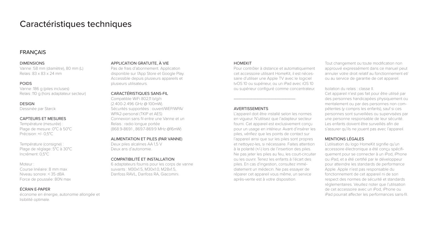# Caractéristiques techniques

# **FRANCAIS**

#### **DIMENSIONS**

Vanne : 58 mm (diamètre), 80 mm (L) Relais : 83 x 83 x 24 mm

#### POIDS

Vanne : 186 g (piles incluses) Relais : 110 g (hors adaptateur secteur)

#### **DESIGN**

Dessinée par Starck

### CAPTEURS ET MESURES

Température (mesurée) : Plage de mesure : 0°C à 50°C Précision : +/- 0,5°C

Température (consigne) : Plage de réglage : 5°C à 30°C Incrément : 0,5°C

#### Moteur :

Course linéaire : 8 mm max Niveau sonore : < 35 dBA Force de poussée : 80N max

### ÉCRAN E-PAPER

économe en énergie, autonomie allongée et lisibilité optimale.

### APPLICATION GRATUITE, À VIE

Pas de frais d'abonnement. Application disponible sur l'App Store et Google Play. Accessible depuis plusieurs appareils et plusieurs utilisateurs.

### CARACTÉRISTIQUES SANS-FIL

Compatible WiFi 802,11 b/g/n (2.400-2.496 GHz @ 100mW). Sécurités supportées : ouvert/WEP/WPA/ WPA2-personal (TKIP et AES) Connexion sans fil entre une Vanne et un Relais : radio longue portée (868.9-869.1 , 869.7-869.9 MHz @16mW)

#### ALIMENTATION ET PILES (PAR VANNE)

Deux piles alcalines AA 1,5 V Deux ans d'autonomie.

### COMPATIBILITÉ ET INSTALLATION

6 adaptateurs fournis pour les corps de vanne suivants : M30x1.5, M30x1.0, M28x1.5, Danfoss RAVL, Danfoss RA, Giacomini.

#### HOMEKIT

Pour contrôler à distance et automatiquement cet accessoire utilisant HomeKit, il est nécessaire d'utiliser une Apple TV avec le logiciel tvOS 10 ou supérieur, ou un iPad avec iOS 10 ou supérieur configuré comme concentrateur.

### AVERTISSEMENTS

L'appareil doit être installé selon les normes en vigueur. N'utilisez que l'adapteur secteur. fourni. Cet appareil est exclusivement conçu pour un usage en intérieur. Avant d'insérer les piles, vérifiez que les points de contact sur l'appareil ainsi que sur les piles sont propres et nettoyez-les, si nécessaire. Faites attention à la polarité (+/-) lors de l'insertion des piles. Ne pas jeter les piles au feu, les court-circuiter ou les ouvrir. Tenez les enfants à l'écart des piles. En cas d'ingestion, consultez immédiatement un médecin. Ne pas essayer de réparer cet appareil vous même, un service après-vente est à votre disposition.

Tout changement ou toute modification non approuvé expressément dans ce manuel peut annuler votre droit relatif au fonctionnement et/ ou au service de garantie de cet appareil.

#### Isolation du relais : classe II.

Cet appareil n'est pas fait pour être utilisé par des personnes handicapées physiquement ou mentalement ou par des personnes non compétentes (y compris les enfants), sauf si ces personnes sont surveillées ou supervisées par une personne responsable de leur sécurité. Les enfants doivent être surveillés afin de s'assurer qu'ils ne jouent pas avec l'appareil.

#### MENTIONS LÉGALES

L'utilisation du logo HomeKit signifie qu'un accessoire électronique a été conçu spécifiquement pour se connecter à un iPod, iPhone ou iPad, et a été certifié par le développeur pour atteindre les standards de performance Apple. Apple n'est pas responsable du fonctionnement de cet appareil ni de son respect des normes de sécurité et standards réglementaires. Veuillez noter que l'utilisation de cet accessoire avec un iPod, iPhone ou iPad pourrait affecter les performances sans-fil.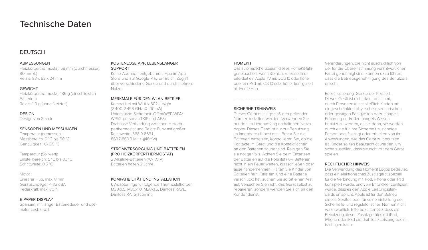# Technische Daten

# **DEUTSCH**

#### **ARMESSUNGEN**

Heizkörperthermostat: 58 mm (Durchmesser), 80 mm (L) Relais: 83 x 83 x 24 mm

#### GEWICHT

Heizkörperthermostat: 186 g (einschließlich Batterien) Relais: 110 g (ohne Netzteil)

# **DESIGN**

Design von Starck

### SENSOREN UND MESSUNGEN

Temperatur (gemessen): Messbereich: 0 °C bis 50 °C Genauigkeit: +/- 0,5 °C

Temperatur (Sollwert): Einstellbereich: 5 °C bis 30 °C Schrittweite: 0,5 °C

#### Motor :

Linearer Hub, max. 8 mm Geräuschpegel: < 35 dBA Federkraft: max. 80 N

### E-PAPER-DISPLAY

Sparsam, mit langer Batteriedauer und optimaler Lesbarkeit.

#### KOSTENLOSE APP, LEBENSLANGER SUPPORT

Keine Abonnementgebühren. App im App Store und auf Google Play erhältlich. Zugriff über verschiedene Geräte und durch mehrere Nutzer.

#### MERKMALE FÜR DEN WLAN-BETRIEB

Kompatibel mit WLAN 802,11 b/g/n (2.400-2.496 GHz @ 100mW). Unterstützte Sicherheit: Offen/WEP/WPA/ WPA2-personal (TKIP und AES). Drahtlose Verbindung zwischen Heizkörperthermostat und Relais: Funk mit großer Reichweite (868 9-8691 869.7-869.9 MHz @16mW).

#### STROMVERSORGUNG UND BATTERIEN (PRO HEIZKÖRPERTHERMOSTAT) .<br>2 Alkaline-Batterien (AA 1.5 V)

Batterien halten 2 Jahre.

#### KOMPATIBILITÄT UND INSTALLATION

6 Adapterringe für folgende Thermostatkörper: M30x1.5, M30x1.0, M28x1.5, Danfoss RAVL, Danfoss RA, Giacomini.

#### HOMEKIT

Das automatische Steuern dieses HomeKit-fähigen Zubehörs, wenn Sie nicht zuhause sind, erfordert ein Apple TV mit tvOS 10 oder höher oder ein iPad mit iOS 10 oder höher, konfiguriert als Home Hub.

### SICHERHEITSHINWEIS

-------------------------------------------------

Dieses Gerät muss gemäß den geltenden Normen installiert werden. Verwenden Sie nur den im Lieferumfang enthaltenen Netzadapter. Dieses Gerät ist nur zur Benutzung im Innenbereich bestimmt. Bevor Sie die Batterien einsetzen, kontrollieren Sie, ob die Kontakte im Gerät und die Kontaktflächen an den Batterien sauber sind. Reinigen Sie sie nötigenfalls. Achten Sie beim Einsetzen der Batterien auf die Polarität (+/-). Batterien nicht in ein Feuer werfen, kurzschließen oder auseinandernehmen. Halten Sie Kinder von Batterien fern. Falls ein Kind eine Batterie verschluckt hat, suchen Sie sofort einen Arzt auf. Versuchen Sie nicht, das Gerät selbst zu reparieren, sondern wenden Sie sich an den Kundendienst.

Veränderungen, die nicht ausdrücklich von der für die Übereinstimmung verantwortlichen Partei genehmigt sind, können dazu führen, dass die Betriebsgenehmigung des Benutzers erlischt.

Relais isolierung: Geräte der Klasse II. Dieses Gerät ist nicht dafür bestimmt, durch Personen (einschließlich Kinder) mit eingeschränkten physischen, sensorischen oder geistigen Fähigkeiten oder mangels Erfahrung und/oder mangels Wissen benutzt zu werden, es sei denn, sie werden durch eine für ihre Sicherheit zuständige Person beaufsichtigt oder erhielten von ihr Anweisungen, wie das Gerät zu benutzen ist. Kinder sollten beaufsichtigt werden, um sicherzustellen, dass sie nicht mit dem Gerät spielen.

### RECHTLICHER HINWEIS

Die Verwendung des HomeKit Logos bedeutet, dass ein elektronisches Zusatzgerät speziell für die Verbindung mit iPod, iPhone oder iPad konzipiert wurde, und vom Entwickler zertifiziert wurde, dass es den Apple Leistungsstandards entspricht. Apple ist für den Betrieb dieses Gerätes oder für seine Einhaltung der Sicherheits- und regulatorischen Normen nicht verantwortlich. Bitte beachten Sie, dass die Benutzung dieses Zusatzgerätes mit iPod, iPhone oder iPad die drahtlose Leistung beeinträchtigen kann.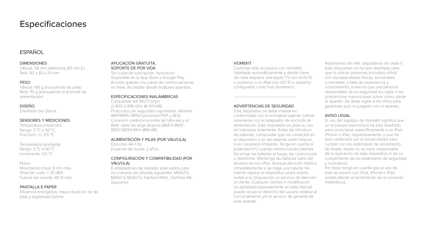# Especificaciones

# ESPAÑOL

#### DIMENSIONES

Válvula: 58 mm (diámetro), 80 mm (L) Relé: 83 x 83 x 24 mm

### PESO

Válvula: 186 g (incluyendo las pilas) Relé: 110 g (excluyendo el enchufe de alimentación)

### DISEÑO

Diseñado por Starck

### SENSORES Y MEDICIONES

Temperatura (medición): Rango: 0 °C a 50 °C Precisión: +/- 0,5 °C

Temperatura (prefijada): Rango: 5 °C a 30 °C Incremento: 0,5 °C

#### Motor:

Movimiento lineal: 8 mm máx Nivel de ruido: < 35 dBA Fuerza del resorte: 80 N máx

#### PANTALLA F-PAPER

Eficiencia energética, mayor duración de las pilas y legibilidad óptima.

#### APLICACIÓN GRATUITA, SOPORTE DE POR VIDA

Sin cuota de suscripción. Aplicación disponible en la App Store y Google Play. Acceso gratuito a tu panel de control personal en línea. Accesible desde múltiples aparatos.

### ESPECIFICACIONES INALÁMBRICAS

Compatible wifi 802.11 b/g/n (2.400-2.496 GHz @ 100mW). Protocolos de seguridad soportados: Abierto/ WEP/WPA/ WPA2-personal (TKIP y AES). Conexión inalámbrica entre las Válvulas y el Relé: radio de largo alcance (868.9-869.1 , 869.7-869.9 MHz @16mW).

#### ALIMENTACIÓN Y PILAS (POR VÁLVULA) Dos pilas AA 15V.

Duración de la pila: 2 años.

### CONFIGURACIÓN Y COMPATIBILIDAD (POR VÁLVULA)

6 adaptadores de radiador adecuados para los cuerpos de válvulas siguientes: M30x1.5 M30x10, M28x15, Danfoss RAVL, Danfoss RA Giacomini.

#### HOMEKIT

Controlar este accesorio con HomeKit habilitado automáticamente y desde fuera de casa requiere una Apple TV con tvOS 10 o posterior o un iPad con iOS 10 o posterior configurado como hub doméstico.

# ------------------------------------------------- ADVERTENCIAS DE SEGURIDAD

Este dispositivo se debe instalar en conformidad con la normativa vigente. Utilizar solamente con el adaptador de enchufe de alimentación. Este dispositivo es para su uso en interiores solamente. Antes de introducir las baterías, compruebe que los contactos en el dispositivo y en las baterías estén limpios, si es necesario límpielos. Tenga en cuenta la polaridad (+/-) cuando introduzca las baterías. No arroje las baterías al fuego, las cortocircuite o desmonte. Mantenga las baterías fuera del alcance de los niños. Busque atención médica inmediatamente si se traga una batería. No intente reparar el dispositivo usted mismo, existe a su disposición un servicio de atención al cliente. Cualquier cambio o modificación no aprobada expresamente en este manual puede anular el derecho del usuario relativo al funcionamiento y/o al servicio de garantía de este aparato.

Aislamiento del relé: dispositivos de clase II. Este dispositivo no ha sido diseñado para que lo utilicen personas (incluidos niños) con discapacidades físicas, sensoriales o mentales, o falta de experiencia y conocimiento, a menos que una persona responsable de su seguridad les vigile o les proporcione instrucciones sobre cómo utilizar el aparato. Se debe vigilar a los niños para garantizar que no jueguen con el aparato.

#### AVISO LEGAL

El uso del logotipo de HomeKit significa que un accesorio electrónico ha sido diseñado para conectarse específicamente a un iPod, iPhone o iPad, respectivamente, y que ha sido certificado por el desarrollador para cumplir con los estándares de rendimiento de Apple. Apple no se hace responsable de la operación de este dispositivo ni de su cumplimiento de los estándares de seguridad y normativos.

Por favor, tenga en cuenta que el uso de este accesorio con iPod, iPhone o iPad podría afectar al rendimiento de la conexión inalámbrica.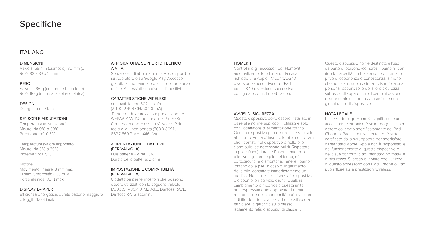# Specifiche

# ITALIANO

#### DIMENSIONI

Valvola: 58 mm (diametro), 80 mm (L) Relè: 83 x 83 x 24 mm

#### PESO

Valvola: 186 g (comprese le batterie) Relè: 110 g (esclusa la spina elettrica)

#### **DESIGN**

Disegnato da Starck

### SENSORI E MISURAZIONI

Temperatura (misurazione): Misure: da 0°C a 50°C Precisione: +/- 0,5°C

Temperatura (valore impostato): Misure: da 5°C a 30°C Incremento: 0,5°C

#### Motore:

Movimento lineare: 8 mm max Livello rumorosità: < 35 dBA Forza elastica: 80 N max

### DISPLAY E-PAPER

Efficienza energetica, durata batterie maggiore e leggibilità ottimale.

#### APP GRATUITA, SUPPORTO TECNICO A VITA

Senza costi di abbonamento. App disponibile su App Store e su Google Play. Accesso gratuito al tuo pannello di controllo personale online. Accessibile da diversi dispositivi.

### CARATTERISTICHE WIRELESS

compatibile con 802.11 b/g/n (2.400-2.496 GHz @ 100mW). Protocolli di sicurezza supportati: aperto/ WEP/WPA/WPA2-personal (TKIP e AES). Connessione wireless tra Valvole e Relè: radio a la lunga portata (868.9-869.1 , 869.7-869.9 MHz @16mW).

#### ALIMENTAZIONE E BATTERIE (PER VALVOLA)

Due batterie AA da 15V. Durata della batteria: 2 anni.

#### IMPOSTAZIONE E COMPATIBILITÀ (PER VALVOLA)

6 adattatori per termosifoni che possono essere utilizzati con le seguenti valvole: M30x1.5, M30x1.0, M28x1.5, Danfoss RAVL, Danfoss RA, Giacomini.

#### HOMEKIT

Controllare gli accessori per HomeKit automaticamente e lontano da casa richiede una Apple TV con tvOS 10 o versione successiva e un iPad con iOS 10 o versione successiva configurato come hub abitazione.

-------------------------------------------------

### AVVISI DI SICUREZZA

Questo dispositivo deve essere installato in base alle norme applicabili. Utilizzare solo con l'adattatore di alimentazione fornito. Questo dispositivo può essere utilizzato solo all'interno. Prima di inserire le pile, controllare che i contatti nel dispositivo e nelle pile siano puliti, se necessario pulirli. Rispettare la polarità (+/-) durante l'inserimento delle pile. Non gettare le pile nel fuoco, né cortocircuitarle o smontarle. Tenere i bambini lontano dalle pile. In caso di ingerimento delle pile, contattare immediatamente un medico. Non tentare di riparare il dispositivo: è disponibile il servizio clienti. Qualsiasi cambiamento o modifica a questa unità non espressamente approvata dall'ente responsabile della conformità può invalidare il diritto del cliente a usare il dispositivo o a far valere la garanzia sullo stesso. Isolamento relè: dispositivi di classe II.

Questo dispositivo non è destinato all'uso da parte di persone (compresi i bambini) con ridotte capacità fisiche, sensorie o mentali, o prive di esperienza o conoscenza, a meno che non siano supervisionati o istruiti da una persona responsabile della loro sicurezza sull'uso dell'apparecchio. I bambini devono essere controllati per assicurarsi che non giochino con il dispositivo.

### NOTA LEGALE

L'utilizzo del logo HomeKit significa che un accessorio elettronico è stato progettato per essere collegato specificatamente ad iPod, iPhone o iPad, rispettivamente, ed è stato certificato dallo sviluppatore per soddisfare gli standard Apple. Apple non è responsabile del funzionamento di questo dispositivo o della sua conformità agli standard normativi e di sicurezza. Si prega di notare che l'utilizzo di questo accessorio con iPod, iPhone o iPad può influire sulle prestazioni wireless.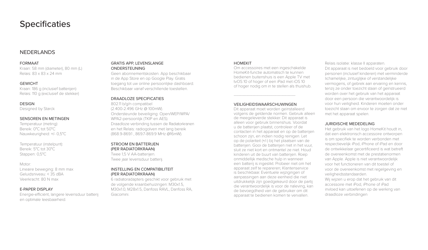# **Specificaties**

# NEDERLANDS

#### FORMAAT

Kraan: 58 mm (diameter), 80 mm (L) Relais: 83 x 83 x 24 mm

#### GEWICHT

Kraan: 186 g (inclusief batterijen) Relais: 110 g (exclusief de stekker)

#### **DESIGN**

Designed by Starck

#### SENSOREN EN METINGEN

Temperatuur (meting): Bereik: 0°C tot 50°C Nauwkeurigheid: +/- 0,5°C

Temperatuur (instelpunt): Bereik: 5°C tot 30°C Stappen: 0,5°C

#### Motor:

Lineaire beweging: 8 mm max Geluidsniveau: < 35 dBA Veerkracht: 80 N max

#### E-PAPER DISPLAY

Energie-efficiënt, langere levensduur batterij en optimale leesbaarheid.

#### GRATIS APP, LEVENSLANGE ONDERSTEUNING

Geen abonnementskosten. App beschikbaar in de App Store en op Google Play. Gratis toegang tot uw online persoonlijke dashboard. Beschikbaar vanaf verschillende toestellen.

### DRAADLOZE SPECIFICATIES

802.11 b/g/n compatibel (2.400-2.496 GHz @ 100mW). Ondersteunde beveiliging: Open/WEP/WPA/ WPA2-persoonlijk (TKIP en AES). Draadloze verbinding tussen de Radiatorkranen en het Relais: radiogolven met lang bereik (868.9-869.1 , 869.7-869.9 MHz @16mW).

#### STROOM EN BATTERIJEN (PER RADIATORKRAAN)

Twee 1,5 V AA-batterijen. Twee jaar levensduur batterij.

#### INSTELLING EN COMPATIBILITEIT (PER RADIATORKRAAN)

6 radiatoradapters geschikt voor gebruik met de volgende kraanbehuizingen: M30x1.5 M30x1.0, M28x1.5, Danfoss RAVL, Danfoss RA, Giacomini.

#### **HOMEKIT**

Om accessoires met een ingeschakelde HomeKit-functie automatisch te kunnen bedienen buitenshuis is een Apple TV met tvOS 10 of hoger of een iPad met iOS 10 of hoger nodig om in te stellen als thuishub.

# ------------------------------------------------- VEILIGHEIDSWAARSCHUWINGEN

Dit apparaat moet worden geïnstalleerd volgens de geldende normen. Gebruik alleen de meegeleverde stekker. Dit apparaat is alleen voor gebruik binnenshuis. Voordat u de batterijen plaatst, controleer of de contacten in het apparaat en op de batterijen schoon zijn, en indien nodig reinigen. Let op de polariteit (+/-) bij het plaatsen van de batterijen. Gooi de batterijen niet in het vuur, sluit ze niet kort en ontmantel ze niet. Houd kinderen uit de buurt van batterijen. Roep onmiddellijk medische hulp in wanneer een batterij is ingeslikt. Probeer niet om het apparaat zelf te repareren; Klantenservice is beschikbaar. Eventuele wijzigingen of aanpassingen aan deze eenheid die niet uitdrukkelijk zijn goedgekeurd door de partij die verantwoordelijk is voor de naleving, kan de bevoegdheid van de gebruiker om dit apparaat te bedienen komen te vervallen.

Relais isolatie: klasse II apparaten. Dit apparaat is niet bedoeld voor gebruik door personen (inclusief kinderen) met verminderde lichamelijke, zintuiglijke of verstandelijke vermogens, of gebrek aan ervaring en kennis, tenzij ze onder toezicht staan of geïnstrueerd worden over het gebruik van het apparaat door een persoon die verantwoordelijk is voor hun veiligheid. Kinderen moeten onder toezicht staan om ervoor te zorgen dat ze niet met het apparaat spelen.

#### JURIDISCHE MEDEDELING

Het gebruik van het logo HomeKit houdt in, dat een elektronisch accessoire ontworpen is om specifiek te worden verbonden met respectievelijk iPod, iPhone of iPad en door de ontwikkelaar gecertificeerd is wat betreft de overeenkomst met de prestatienormen van Apple. Apple is niet verantwoordelijk voor het functioneren van dit toestel of voor de overeenkomst met regelgeving en veiligheidsstandaarden.

Wij wijzen u erop dat het gebruik van dit accessoire met iPod, iPhone of iPad invloed kan uitoefenen op de werking van draadloze verbindingen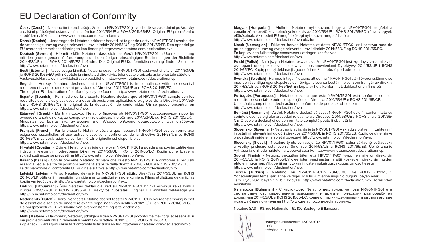# EU Declaration of Conformity

**Česky [Czech]** - Netatmo tímto prohlašuje, že tento NRV01/TPG01 je ve shodě se základními požadavky a dalšími příslušnými ustanoveními směrnice 2014/53/UE a ROHS 2011/65/ES. Originál EU prohlášení o shodě lze nalézt na http://www.netatmo.com/declaration/nvp.

**Dansk [Danish]** - Undertegnede Netatmo erklærer herved, at følgende udstyr NRV01/TPG01 overholder de væsentlige krav og øvrige relevante krav i direktiv 2014/53/UE og ROHS 2011/65/EF. Den oprindelige EU-overensstemmelseserklæringen kan findes på http://www.netatmo.com/declaration/nvp.

**Deutsch [German]** - Hiermit erklärt Netatmo, dass sich das Gerät NRV01/TPG01 in Übereinstimmung mit den grundlegenden Anforderungen und den übrigen einschlägigen Bestimmungen der Richtlinie 2014/53/UE und ROHS 2011/65/EG befindet. Die Original-EU-Konformitätserklärung finden Sie unter http://www.netatmo.com/declaration/nvp.

**Eesti [Estonian]** - Käesolevaga kinnitab Netatmo seadme NRV01/TPG01 vastavust direktiivi 2014/53/UE ja ROHS 2011/65/EÜ põhinõuetele ja nimetatud direktiivist tulenevatele teistele asjakohastele sätetele. Vastavusdeklaratsiooni tervikteksti saab veebilehelt http://www.netatmo.com/declaration/nvp.

**English** - Hereby, Netatmo declares that this NRV01/TPG01 is in compliance with the essential requirements and other relevant provisions of Directive 2014/53/UE and ROHS 2011/65/EC. The original EU declaration of conformity may be found at http://www.netatmo.com/declaration/nvp.

**Español [Spanish]** - Por medio de la presente Netatmo declara que el NRV01/TPG01 cumple con los requisitos esenciales y cualesquiera otras disposiciones aplicables o exigibles de la Directiva 2014/53/ UE y ROHS 2011/65/CE. El original de la declaración de conformidad UE se puede encontrar en http://www.netatmo.com/declaration/nvp.

**Ελληνική [Greek]** - Με tην παροyσα Netatmo δηλωνει οtι NRV01/TPG01 σyμμορφωνεtαι προσ tισ οyσιωδεισ απαιtησεισ και tισ λοιπεσ σxεtικεσ διαtαξεισ tησ οδηγιασ 2014/53/UE και ROHS 2011/65/EK. Μπορείτε να βρείτε ένα αντίγραφο της πλήρους δήλωσης συμμόρφωσης στη διεύθυνση http://www.netatmo.com/declaration/nvp.

**Français [French]** - Par la présente Netatmo déclare que l'appareil NRV01/TPG01 est conforme aux exigences essentielles et aux autres dispositions pertinentes de la directive 2014/53/UE et ROHS 2011/65/CE. La déclaration de conformité UE originelle est disponible sur http://www.netatmo.com/declaration/nvp.

**Hrvatski [Croatian]** - Ovime, Netatmo izjavljuje da je ovaj NRV01/TPG01 u skladu s osnovnim zahtjevima i drugim relevantnim odredbama Direktive 2014/53/UE i ROHS 2011/65/EC. Kopija pune Izjave o sukladnosti može se preuzeti na http://www.netatmo.com/declaration/nvp.

**Italiano [Italian]** - Con la presente Netatmo dichiara che questo NRV01/TPG01 è conforme ai requisiti essenziali ed alle altre disposizioni pertinenti stabilite dalla direttiva 2014/53/UE e ROHS 2011/65/CE. La dichiarazione di conformità UE originale si trova a http://www.netatmo.com/declaration/nvp.

**Latviski [Latvian]** - Ar šo Netatmo deklarē, ka NRV01/TPG01 atbilst Direktīvas 2014/53/UE un ROHS 2011/65/EK būtiskajām prasībām un citiem ar to saistītajiem noteikumiem. Pilnas atbilstības deklarācijas

kopiju var iegūt vietnē http://www.netatmo.com/declaration/nvp.

**Lietuvių [Lithuanian]** - Šiuo Netatmo deklaruoja, kad šis NRV01/TPG01 atitinka esminius reikalavimus ir kitas 2014/53/UE ir ROHS 2011/65/EB Direktyvos nuostatas. Originali EU atitikties deklaracija yra http://www.netatmo.com/declaration/nvp.

**Nederlands [Dutch]** - Hierbij verklaart Netatmo dat het toestel NRV01/TPG01 in overeenstemming is met de essentiële eisen en de andere relevante bepalingen van richtlijn 2014/53/UE en ROHS 2011/65/EG. De oorspronkelijke EU-verklaring van overeenstemming is te vinden op http://www.netatmo.com/declaration/nvp.

**Malti [Maltese]** - Hawnhekk, Netatmo, jiddikjara li dan NRV01/TPG01 jikkonforma mal-ħtiġijiet essenzjali u ma provvedimenti oħrajn relevanti li hemm fid-Dirrettiva 2014/53/UE u ROHS 2011/65/EC. Kopja tad-Dikjarazzjoni sħiħa ta 'konformità tista' tinkiseb fuq http://www.netatmo.com/declaration/nvp.

**Magyar [Hungarian]** - Alulírott, Netatmo nyilatkozom, hogy a NRV01/TPG01 megfelel a vonatkozó alapvetõ követelményeknek és az 2014/53/UE i ROHS 2011/65/EC irányelv egyéb elõírásainak. Az eredeti EU megfelelőségi nyilatkozat megtalálható a http://www.netatmo.com/declaration/nvp oldalon.

**Norsk [Norwegian]** - Erklærer herved Netatmo at dette NRV01/TPG01 er i samsvar med de grunnleggende krav og øvrige relevante krav i direktiv 2014/53/UE og ROHS 2011/65/EC. En kopi av den fullstendige samsvarserklæringen kan fås ved http://www.netatmo.com/declaration/nvp.

**Polski [Polish]** - Niniejszym Netatmo oświadcza, że NRV01/TPG01 jest zgodny z zasadniczymi wymogami oraz pozostałymi stosownymi postanowieniami Dyrektywy 2014/53/UE i ROHS 2011/65/EC. Kopię pełnej deklaracji zgodności można pobrać pod adresem http://www.netatmo.com/declaration/nvp.

**Svenska [Swedish]** - Härmed intygar Netatmo att denna NRV01/TPG01 står I överensstämmelse med de väsentliga egenskapskrav och övriga relevanta bestämmelser som framgår av direktiv 2014/53/UE och ROHS 2011/65/EG. En kopia av hela Konformitetsdeklarationen finns på http://www.netatmo.com/declaration/nvp.

**Português [Portuguese]** - Netatmo declara que este NRV01/TPG01 está conforme com os requisitos essenciais e outras disposições da Directiva 2014/53/UE e ROHS 2011/65/CE. Uma cópia completa da declaração de conformidade pode ser obtida em http://www.netatmo.com/declaration/nvp.

**Română [Romanian]** - Astfel, Netatmo declară că acest NRV01/TPG01 este în conformitate cu cerințele esențiale și alte prevederi relevante ale Directivei 2014/53/UE și ROHS anului 2011/65/ CE. O copie a declarației de conformitate completă poate fi obținută la http://www.netatmo.com/declaration/nvp.

**Slovensko [Slovenian]** - Netatmo izjavlja, da je ta NRV01/TPG01 v skladu z bistvenimi zahtevami in ostalimi relevantnimi določili direktive 2014/53/UE in ROHS 2011/65/ES. Kopijo celotne izjave o skladnosti najdete na spletni povezavi http://www.netatmo.com/declaration/nvp.

**Slovensky [Slovak]** - Netatmo týmto vyhlasuje, že NRV01/TPG01 spĺňa základné požiadavky a všetky príslušné ustanovenia Smernice 2014/53/UE a ROHS 2011/65/ES. Úplné znenie Vyhlásenia o zhode nájdete na webovej stránke http://www.netatmo.com/declaration/nvp.

**Suomi [Finnish]** - Netatmo vakuuttaa täten että NRV01/TPG01 tyyppinen laite on direktiivin 2014/53/UE ja ROHS 2011/65/EY oleellisten vaatimusten ja sitä koskevien direktiivin muiden ehtojen mukainen. Alkuperäinen EU-vaatimustenmukaisuusvakuutus on osoitteesta http://www.netatmo.com/declaration/nvp.

**Türkçe [Turkish]** - Netatmo, bu NRV01/TPG01'in 2014/53/UE ve ROHS 2011/65/EC Yönetmeliğinin temel şartlarına ve diğer ilgili hükümlerine uygun olduğunu beyan eder. Tam uygunluk beyanının bir kopyası http://www.netatmo.com/declaration/nvp adresinden edinilebilir.

**български [Bulgarian]** - С настоящото Netatmo декларира, че това NRV01/TPG01 е в съответствие със съществените изисквания и другите приложими разпоредби на Директива 2014/53/UE и ROHS 2011/65/ЕC. Копие от пълния декларацията за съответствие може да бъде получена на http://www.netatmo.com/declaration/nvp.

Netatmo SAS – 93, rue Nationale – 92100 Boulogne-Billancourt



Boulogne-Billancourt, 12/06/2017 Frédéric POTTER